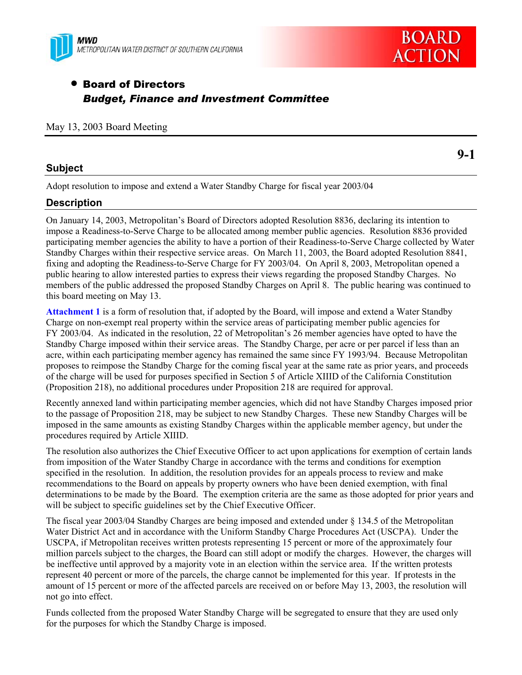



**9-1** 

# • Board of Directors *Budget, Finance and Investment Committee*

#### May 13, 2003 Board Meeting

### **Subject**

Adopt resolution to impose and extend a Water Standby Charge for fiscal year 2003/04

## **Description**

On January 14, 2003, Metropolitan's Board of Directors adopted Resolution 8836, declaring its intention to impose a Readiness-to-Serve Charge to be allocated among member public agencies. Resolution 8836 provided participating member agencies the ability to have a portion of their Readiness-to-Serve Charge collected by Water Standby Charges within their respective service areas. On March 11, 2003, the Board adopted Resolution 8841, fixing and adopting the Readiness-to-Serve Charge for FY 2003/04. On April 8, 2003, Metropolitan opened a public hearing to allow interested parties to express their views regarding the proposed Standby Charges. No members of the public addressed the proposed Standby Charges on April 8. The public hearing was continued to this board meeting on May 13.

**Attachment 1** is a form of resolution that, if adopted by the Board, will impose and extend a Water Standby Charge on non-exempt real property within the service areas of participating member public agencies for FY 2003/04. As indicated in the resolution, 22 of Metropolitan's 26 member agencies have opted to have the Standby Charge imposed within their service areas. The Standby Charge, per acre or per parcel if less than an acre, within each participating member agency has remained the same since FY 1993/94. Because Metropolitan proposes to reimpose the Standby Charge for the coming fiscal year at the same rate as prior years, and proceeds of the charge will be used for purposes specified in Section 5 of Article XIIID of the California Constitution (Proposition 218), no additional procedures under Proposition 218 are required for approval.

Recently annexed land within participating member agencies, which did not have Standby Charges imposed prior to the passage of Proposition 218, may be subject to new Standby Charges. These new Standby Charges will be imposed in the same amounts as existing Standby Charges within the applicable member agency, but under the procedures required by Article XIIID.

The resolution also authorizes the Chief Executive Officer to act upon applications for exemption of certain lands from imposition of the Water Standby Charge in accordance with the terms and conditions for exemption specified in the resolution. In addition, the resolution provides for an appeals process to review and make recommendations to the Board on appeals by property owners who have been denied exemption, with final determinations to be made by the Board. The exemption criteria are the same as those adopted for prior years and will be subject to specific guidelines set by the Chief Executive Officer.

The fiscal year 2003/04 Standby Charges are being imposed and extended under § 134.5 of the Metropolitan Water District Act and in accordance with the Uniform Standby Charge Procedures Act (USCPA). Under the USCPA, if Metropolitan receives written protests representing 15 percent or more of the approximately four million parcels subject to the charges, the Board can still adopt or modify the charges. However, the charges will be ineffective until approved by a majority vote in an election within the service area. If the written protests represent 40 percent or more of the parcels, the charge cannot be implemented for this year. If protests in the amount of 15 percent or more of the affected parcels are received on or before May 13, 2003, the resolution will not go into effect.

Funds collected from the proposed Water Standby Charge will be segregated to ensure that they are used only for the purposes for which the Standby Charge is imposed.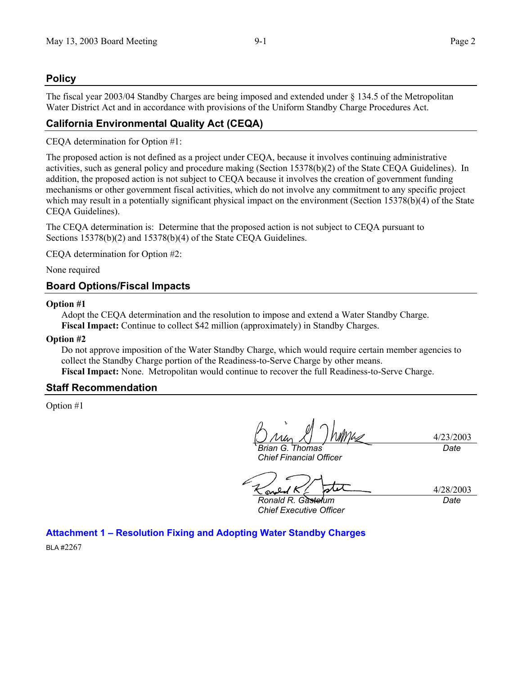4/23/2003

*Date*

# **Policy**

The fiscal year 2003/04 Standby Charges are being imposed and extended under § 134.5 of the Metropolitan Water District Act and in accordance with provisions of the Uniform Standby Charge Procedures Act.

# **California Environmental Quality Act (CEQA)**

CEQA determination for Option #1:

The proposed action is not defined as a project under CEQA, because it involves continuing administrative activities, such as general policy and procedure making (Section 15378(b)(2) of the State CEQA Guidelines). In addition, the proposed action is not subject to CEQA because it involves the creation of government funding mechanisms or other government fiscal activities, which do not involve any commitment to any specific project which may result in a potentially significant physical impact on the environment (Section 15378(b)(4) of the State CEQA Guidelines).

The CEQA determination is: Determine that the proposed action is not subject to CEQA pursuant to Sections 15378(b)(2) and 15378(b)(4) of the State CEQA Guidelines.

CEQA determination for Option #2:

None required

# **Board Options/Fiscal Impacts**

#### **Option #1**

Adopt the CEQA determination and the resolution to impose and extend a Water Standby Charge. **Fiscal Impact:** Continue to collect \$42 million (approximately) in Standby Charges.

#### **Option #2**

Do not approve imposition of the Water Standby Charge, which would require certain member agencies to collect the Standby Charge portion of the Readiness-to-Serve Charge by other means. **Fiscal Impact:** None. Metropolitan would continue to recover the full Readiness-to-Serve Charge.

## **Staff Recommendation**

Option #1

*Brian G. Thomas* 

*Chief Financial Officer* 

4/28/2003 *Ronald R. Gastelum Date*

*Chief Executive Officer* 

**Attachment 1 – Resolution Fixing and Adopting Water Standby Charges** 

BLA #2267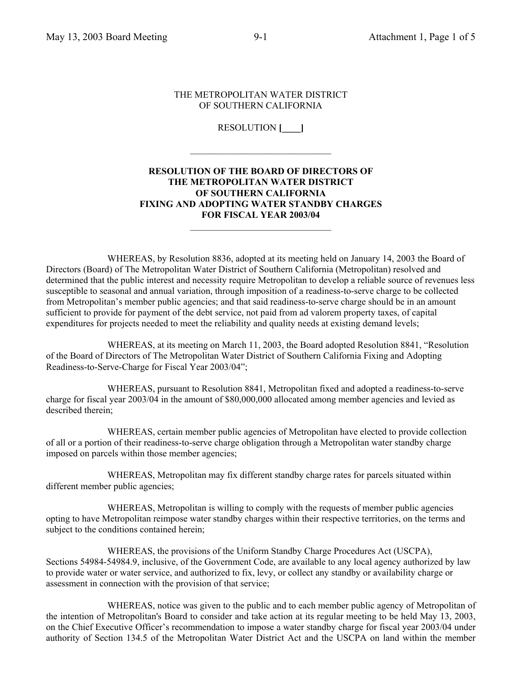#### THE METROPOLITAN WATER DISTRICT OF SOUTHERN CALIFORNIA

RESOLUTION **[\_\_\_\_]**

 $\mathcal{L}_\text{max}$ 

## **RESOLUTION OF THE BOARD OF DIRECTORS OF THE METROPOLITAN WATER DISTRICT OF SOUTHERN CALIFORNIA FIXING AND ADOPTING WATER STANDBY CHARGES FOR FISCAL YEAR 2003/04**

 $\mathcal{L}_\text{max}$  , where  $\mathcal{L}_\text{max}$  , we have the set of  $\mathcal{L}_\text{max}$ 

 WHEREAS, by Resolution 8836, adopted at its meeting held on January 14, 2003 the Board of Directors (Board) of The Metropolitan Water District of Southern California (Metropolitan) resolved and determined that the public interest and necessity require Metropolitan to develop a reliable source of revenues less susceptible to seasonal and annual variation, through imposition of a readiness-to-serve charge to be collected from Metropolitan's member public agencies; and that said readiness-to-serve charge should be in an amount sufficient to provide for payment of the debt service, not paid from ad valorem property taxes, of capital expenditures for projects needed to meet the reliability and quality needs at existing demand levels;

 WHEREAS, at its meeting on March 11, 2003, the Board adopted Resolution 8841, "Resolution of the Board of Directors of The Metropolitan Water District of Southern California Fixing and Adopting Readiness-to-Serve-Charge for Fiscal Year 2003/04";

 WHEREAS, pursuant to Resolution 8841, Metropolitan fixed and adopted a readiness-to-serve charge for fiscal year 2003/04 in the amount of \$80,000,000 allocated among member agencies and levied as described therein;

 WHEREAS, certain member public agencies of Metropolitan have elected to provide collection of all or a portion of their readiness-to-serve charge obligation through a Metropolitan water standby charge imposed on parcels within those member agencies;

 WHEREAS, Metropolitan may fix different standby charge rates for parcels situated within different member public agencies;

 WHEREAS, Metropolitan is willing to comply with the requests of member public agencies opting to have Metropolitan reimpose water standby charges within their respective territories, on the terms and subject to the conditions contained herein;

 WHEREAS, the provisions of the Uniform Standby Charge Procedures Act (USCPA), Sections 54984-54984.9, inclusive, of the Government Code, are available to any local agency authorized by law to provide water or water service, and authorized to fix, levy, or collect any standby or availability charge or assessment in connection with the provision of that service;

 WHEREAS, notice was given to the public and to each member public agency of Metropolitan of the intention of Metropolitan's Board to consider and take action at its regular meeting to be held May 13, 2003, on the Chief Executive Officer's recommendation to impose a water standby charge for fiscal year 2003/04 under authority of Section 134.5 of the Metropolitan Water District Act and the USCPA on land within the member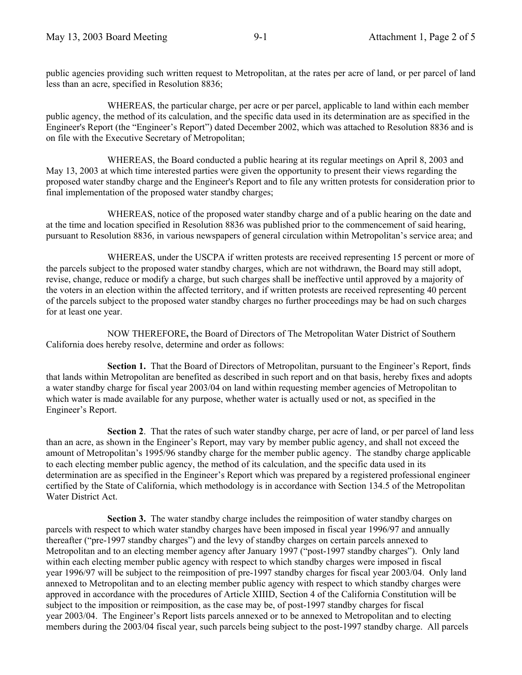public agencies providing such written request to Metropolitan, at the rates per acre of land, or per parcel of land less than an acre, specified in Resolution 8836;

 WHEREAS, the particular charge, per acre or per parcel, applicable to land within each member public agency, the method of its calculation, and the specific data used in its determination are as specified in the Engineer's Report (the "Engineer's Report") dated December 2002, which was attached to Resolution 8836 and is on file with the Executive Secretary of Metropolitan;

 WHEREAS, the Board conducted a public hearing at its regular meetings on April 8, 2003 and May 13, 2003 at which time interested parties were given the opportunity to present their views regarding the proposed water standby charge and the Engineer's Report and to file any written protests for consideration prior to final implementation of the proposed water standby charges;

WHEREAS, notice of the proposed water standby charge and of a public hearing on the date and at the time and location specified in Resolution 8836 was published prior to the commencement of said hearing, pursuant to Resolution 8836, in various newspapers of general circulation within Metropolitan's service area; and

 WHEREAS, under the USCPA if written protests are received representing 15 percent or more of the parcels subject to the proposed water standby charges, which are not withdrawn, the Board may still adopt, revise, change, reduce or modify a charge, but such charges shall be ineffective until approved by a majority of the voters in an election within the affected territory, and if written protests are received representing 40 percent of the parcels subject to the proposed water standby charges no further proceedings may be had on such charges for at least one year.

NOW THEREFORE**,** the Board of Directors of The Metropolitan Water District of Southern California does hereby resolve, determine and order as follows:

 **Section 1.** That the Board of Directors of Metropolitan, pursuant to the Engineer's Report, finds that lands within Metropolitan are benefited as described in such report and on that basis, hereby fixes and adopts a water standby charge for fiscal year 2003/04 on land within requesting member agencies of Metropolitan to which water is made available for any purpose, whether water is actually used or not, as specified in the Engineer's Report.

**Section 2**. That the rates of such water standby charge, per acre of land, or per parcel of land less than an acre, as shown in the Engineer's Report, may vary by member public agency, and shall not exceed the amount of Metropolitan's 1995/96 standby charge for the member public agency. The standby charge applicable to each electing member public agency, the method of its calculation, and the specific data used in its determination are as specified in the Engineer's Report which was prepared by a registered professional engineer certified by the State of California, which methodology is in accordance with Section 134.5 of the Metropolitan Water District Act.

**Section 3.** The water standby charge includes the reimposition of water standby charges on parcels with respect to which water standby charges have been imposed in fiscal year 1996/97 and annually thereafter ("pre-1997 standby charges") and the levy of standby charges on certain parcels annexed to Metropolitan and to an electing member agency after January 1997 ("post-1997 standby charges"). Only land within each electing member public agency with respect to which standby charges were imposed in fiscal year 1996/97 will be subject to the reimposition of pre-1997 standby charges for fiscal year 2003/04. Only land annexed to Metropolitan and to an electing member public agency with respect to which standby charges were approved in accordance with the procedures of Article XIIID, Section 4 of the California Constitution will be subject to the imposition or reimposition, as the case may be, of post-1997 standby charges for fiscal year 2003/04. The Engineer's Report lists parcels annexed or to be annexed to Metropolitan and to electing members during the 2003/04 fiscal year, such parcels being subject to the post-1997 standby charge. All parcels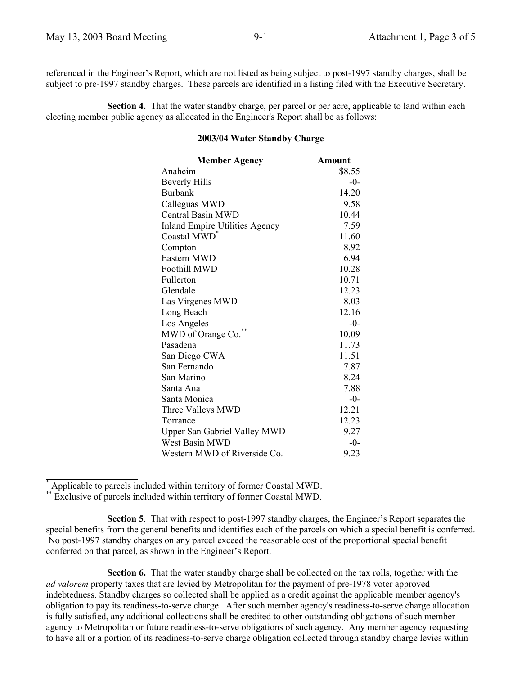referenced in the Engineer's Report, which are not listed as being subject to post-1997 standby charges, shall be subject to pre-1997 standby charges. These parcels are identified in a listing filed with the Executive Secretary.

**Section 4.** That the water standby charge, per parcel or per acre, applicable to land within each electing member public agency as allocated in the Engineer's Report shall be as follows:

# **2003/04 Water Standby Charge**

| <b>Member Agency</b>                  | Amount |
|---------------------------------------|--------|
| Anaheim                               | \$8.55 |
| <b>Beverly Hills</b>                  | $-0-$  |
| <b>Burbank</b>                        | 14.20  |
| Calleguas MWD                         | 9.58   |
| <b>Central Basin MWD</b>              | 10.44  |
| <b>Inland Empire Utilities Agency</b> | 7.59   |
| Coastal MWD <sup>*</sup>              | 11.60  |
| Compton                               | 8.92   |
| Eastern MWD                           | 6.94   |
| Foothill MWD                          | 10.28  |
| Fullerton                             | 10.71  |
| Glendale                              | 12.23  |
| Las Virgenes MWD                      | 8.03   |
| Long Beach                            | 12.16  |
| Los Angeles                           | $-0-$  |
| MWD of Orange Co.                     | 10.09  |
| Pasadena                              | 11.73  |
| San Diego CWA                         | 11.51  |
| San Fernando                          | 7.87   |
| San Marino                            | 8.24   |
| Santa Ana                             | 7.88   |
| Santa Monica                          | $-0-$  |
| Three Valleys MWD                     | 12.21  |
| Torrance                              | 12.23  |
| <b>Upper San Gabriel Valley MWD</b>   | 9.27   |
| West Basin MWD                        | $-0-$  |
| Western MWD of Riverside Co.          | 9.23   |
|                                       |        |

\* Applicable to parcels included within territory of former Coastal MWD.

\*\* Exclusive of parcels included within territory of former Coastal MWD.

**Section 5**. That with respect to post-1997 standby charges, the Engineer's Report separates the special benefits from the general benefits and identifies each of the parcels on which a special benefit is conferred. No post-1997 standby charges on any parcel exceed the reasonable cost of the proportional special benefit conferred on that parcel, as shown in the Engineer's Report.

**Section 6.** That the water standby charge shall be collected on the tax rolls, together with the *ad valorem* property taxes that are levied by Metropolitan for the payment of pre-1978 voter approved indebtedness. Standby charges so collected shall be applied as a credit against the applicable member agency's obligation to pay its readiness-to-serve charge. After such member agency's readiness-to-serve charge allocation is fully satisfied, any additional collections shall be credited to other outstanding obligations of such member agency to Metropolitan or future readiness-to-serve obligations of such agency. Any member agency requesting to have all or a portion of its readiness-to-serve charge obligation collected through standby charge levies within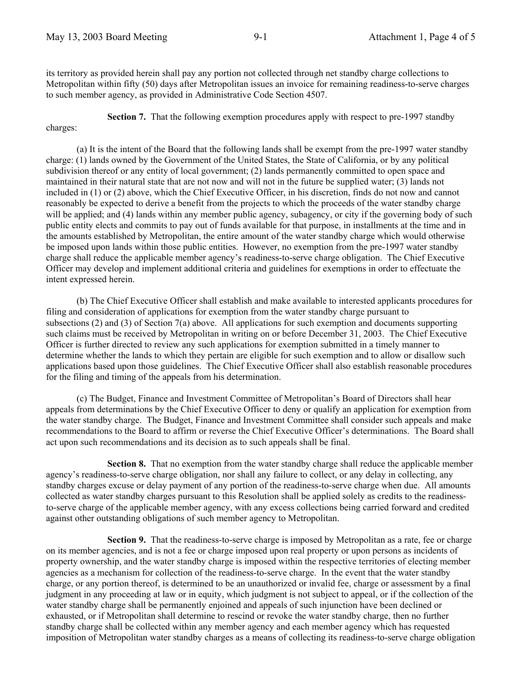charges:

its territory as provided herein shall pay any portion not collected through net standby charge collections to Metropolitan within fifty (50) days after Metropolitan issues an invoice for remaining readiness-to-serve charges to such member agency, as provided in Administrative Code Section 4507.

**Section 7.** That the following exemption procedures apply with respect to pre-1997 standby

(a) It is the intent of the Board that the following lands shall be exempt from the pre-1997 water standby charge: (1) lands owned by the Government of the United States, the State of California, or by any political subdivision thereof or any entity of local government; (2) lands permanently committed to open space and maintained in their natural state that are not now and will not in the future be supplied water; (3) lands not included in (1) or (2) above, which the Chief Executive Officer, in his discretion, finds do not now and cannot reasonably be expected to derive a benefit from the projects to which the proceeds of the water standby charge will be applied; and (4) lands within any member public agency, subagency, or city if the governing body of such public entity elects and commits to pay out of funds available for that purpose, in installments at the time and in the amounts established by Metropolitan, the entire amount of the water standby charge which would otherwise be imposed upon lands within those public entities. However, no exemption from the pre-1997 water standby charge shall reduce the applicable member agency's readiness-to-serve charge obligation. The Chief Executive Officer may develop and implement additional criteria and guidelines for exemptions in order to effectuate the intent expressed herein.

(b) The Chief Executive Officer shall establish and make available to interested applicants procedures for filing and consideration of applications for exemption from the water standby charge pursuant to subsections (2) and (3) of Section 7(a) above. All applications for such exemption and documents supporting such claims must be received by Metropolitan in writing on or before December 31, 2003. The Chief Executive Officer is further directed to review any such applications for exemption submitted in a timely manner to determine whether the lands to which they pertain are eligible for such exemption and to allow or disallow such applications based upon those guidelines. The Chief Executive Officer shall also establish reasonable procedures for the filing and timing of the appeals from his determination.

(c) The Budget, Finance and Investment Committee of Metropolitan's Board of Directors shall hear appeals from determinations by the Chief Executive Officer to deny or qualify an application for exemption from the water standby charge. The Budget, Finance and Investment Committee shall consider such appeals and make recommendations to the Board to affirm or reverse the Chief Executive Officer's determinations. The Board shall act upon such recommendations and its decision as to such appeals shall be final.

**Section 8.** That no exemption from the water standby charge shall reduce the applicable member agency's readiness-to-serve charge obligation, nor shall any failure to collect, or any delay in collecting, any standby charges excuse or delay payment of any portion of the readiness-to-serve charge when due. All amounts collected as water standby charges pursuant to this Resolution shall be applied solely as credits to the readinessto-serve charge of the applicable member agency, with any excess collections being carried forward and credited against other outstanding obligations of such member agency to Metropolitan.

**Section 9.** That the readiness-to-serve charge is imposed by Metropolitan as a rate, fee or charge on its member agencies, and is not a fee or charge imposed upon real property or upon persons as incidents of property ownership, and the water standby charge is imposed within the respective territories of electing member agencies as a mechanism for collection of the readiness-to-serve charge. In the event that the water standby charge, or any portion thereof, is determined to be an unauthorized or invalid fee, charge or assessment by a final judgment in any proceeding at law or in equity, which judgment is not subject to appeal, or if the collection of the water standby charge shall be permanently enjoined and appeals of such injunction have been declined or exhausted, or if Metropolitan shall determine to rescind or revoke the water standby charge, then no further standby charge shall be collected within any member agency and each member agency which has requested imposition of Metropolitan water standby charges as a means of collecting its readiness-to-serve charge obligation